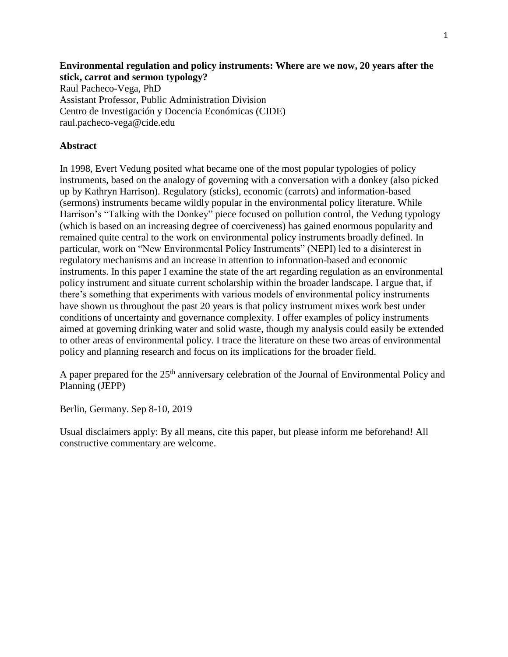### **Environmental regulation and policy instruments: Where are we now, 20 years after the stick, carrot and sermon typology?**

Raul Pacheco-Vega, PhD Assistant Professor, Public Administration Division Centro de Investigación y Docencia Económicas (CIDE) raul.pacheco-vega@cide.edu

### **Abstract**

In 1998, Evert Vedung posited what became one of the most popular typologies of policy instruments, based on the analogy of governing with a conversation with a donkey (also picked up by Kathryn Harrison). Regulatory (sticks), economic (carrots) and information-based (sermons) instruments became wildly popular in the environmental policy literature. While Harrison's "Talking with the Donkey" piece focused on pollution control, the Vedung typology (which is based on an increasing degree of coerciveness) has gained enormous popularity and remained quite central to the work on environmental policy instruments broadly defined. In particular, work on "New Environmental Policy Instruments" (NEPI) led to a disinterest in regulatory mechanisms and an increase in attention to information-based and economic instruments. In this paper I examine the state of the art regarding regulation as an environmental policy instrument and situate current scholarship within the broader landscape. I argue that, if there's something that experiments with various models of environmental policy instruments have shown us throughout the past 20 years is that policy instrument mixes work best under conditions of uncertainty and governance complexity. I offer examples of policy instruments aimed at governing drinking water and solid waste, though my analysis could easily be extended to other areas of environmental policy. I trace the literature on these two areas of environmental policy and planning research and focus on its implications for the broader field.

A paper prepared for the 25<sup>th</sup> anniversary celebration of the Journal of Environmental Policy and Planning (JEPP)

Berlin, Germany. Sep 8-10, 2019

Usual disclaimers apply: By all means, cite this paper, but please inform me beforehand! All constructive commentary are welcome.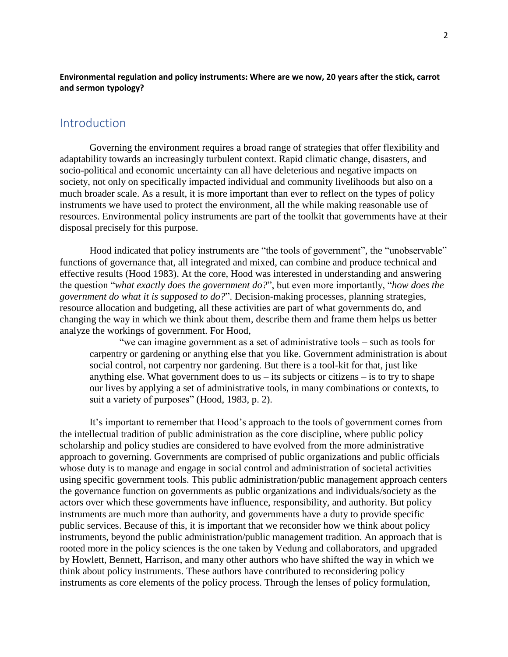### **Environmental regulation and policy instruments: Where are we now, 20 years after the stick, carrot and sermon typology?**

## **Introduction**

Governing the environment requires a broad range of strategies that offer flexibility and adaptability towards an increasingly turbulent context. Rapid climatic change, disasters, and socio-political and economic uncertainty can all have deleterious and negative impacts on society, not only on specifically impacted individual and community livelihoods but also on a much broader scale. As a result, it is more important than ever to reflect on the types of policy instruments we have used to protect the environment, all the while making reasonable use of resources. Environmental policy instruments are part of the toolkit that governments have at their disposal precisely for this purpose.

Hood indicated that policy instruments are "the tools of government", the "unobservable" functions of governance that, all integrated and mixed, can combine and produce technical and effective results (Hood 1983). At the core, Hood was interested in understanding and answering the question "*what exactly does the government do?*", but even more importantly, "*how does the government do what it is supposed to do?*". Decision-making processes, planning strategies, resource allocation and budgeting, all these activities are part of what governments do, and changing the way in which we think about them, describe them and frame them helps us better analyze the workings of government. For Hood,

"we can imagine government as a set of administrative tools – such as tools for carpentry or gardening or anything else that you like. Government administration is about social control, not carpentry nor gardening. But there is a tool-kit for that, just like anything else. What government does to us  $-$  its subjects or citizens  $-$  is to try to shape our lives by applying a set of administrative tools, in many combinations or contexts, to suit a variety of purposes" (Hood, 1983, p. 2).

It's important to remember that Hood's approach to the tools of government comes from the intellectual tradition of public administration as the core discipline, where public policy scholarship and policy studies are considered to have evolved from the more administrative approach to governing. Governments are comprised of public organizations and public officials whose duty is to manage and engage in social control and administration of societal activities using specific government tools. This public administration/public management approach centers the governance function on governments as public organizations and individuals/society as the actors over which these governments have influence, responsibility, and authority. But policy instruments are much more than authority, and governments have a duty to provide specific public services. Because of this, it is important that we reconsider how we think about policy instruments, beyond the public administration/public management tradition. An approach that is rooted more in the policy sciences is the one taken by Vedung and collaborators, and upgraded by Howlett, Bennett, Harrison, and many other authors who have shifted the way in which we think about policy instruments. These authors have contributed to reconsidering policy instruments as core elements of the policy process. Through the lenses of policy formulation,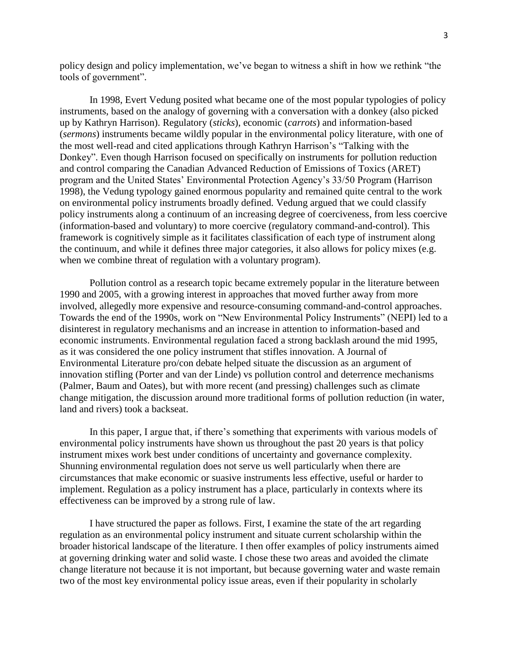policy design and policy implementation, we've began to witness a shift in how we rethink "the tools of government".

In 1998, Evert Vedung posited what became one of the most popular typologies of policy instruments, based on the analogy of governing with a conversation with a donkey (also picked up by Kathryn Harrison). Regulatory (*sticks*), economic (*carrots*) and information-based (*sermons*) instruments became wildly popular in the environmental policy literature, with one of the most well-read and cited applications through Kathryn Harrison's "Talking with the Donkey". Even though Harrison focused on specifically on instruments for pollution reduction and control comparing the Canadian Advanced Reduction of Emissions of Toxics (ARET) program and the United States' Environmental Protection Agency's 33/50 Program (Harrison 1998), the Vedung typology gained enormous popularity and remained quite central to the work on environmental policy instruments broadly defined. Vedung argued that we could classify policy instruments along a continuum of an increasing degree of coerciveness, from less coercive (information-based and voluntary) to more coercive (regulatory command-and-control). This framework is cognitively simple as it facilitates classification of each type of instrument along the continuum, and while it defines three major categories, it also allows for policy mixes (e.g. when we combine threat of regulation with a voluntary program).

Pollution control as a research topic became extremely popular in the literature between 1990 and 2005, with a growing interest in approaches that moved further away from more involved, allegedly more expensive and resource-consuming command-and-control approaches. Towards the end of the 1990s, work on "New Environmental Policy Instruments" (NEPI) led to a disinterest in regulatory mechanisms and an increase in attention to information-based and economic instruments. Environmental regulation faced a strong backlash around the mid 1995, as it was considered the one policy instrument that stifles innovation. A Journal of Environmental Literature pro/con debate helped situate the discussion as an argument of innovation stifling (Porter and van der Linde) vs pollution control and deterrence mechanisms (Palmer, Baum and Oates), but with more recent (and pressing) challenges such as climate change mitigation, the discussion around more traditional forms of pollution reduction (in water, land and rivers) took a backseat.

In this paper, I argue that, if there's something that experiments with various models of environmental policy instruments have shown us throughout the past 20 years is that policy instrument mixes work best under conditions of uncertainty and governance complexity. Shunning environmental regulation does not serve us well particularly when there are circumstances that make economic or suasive instruments less effective, useful or harder to implement. Regulation as a policy instrument has a place, particularly in contexts where its effectiveness can be improved by a strong rule of law.

I have structured the paper as follows. First, I examine the state of the art regarding regulation as an environmental policy instrument and situate current scholarship within the broader historical landscape of the literature. I then offer examples of policy instruments aimed at governing drinking water and solid waste. I chose these two areas and avoided the climate change literature not because it is not important, but because governing water and waste remain two of the most key environmental policy issue areas, even if their popularity in scholarly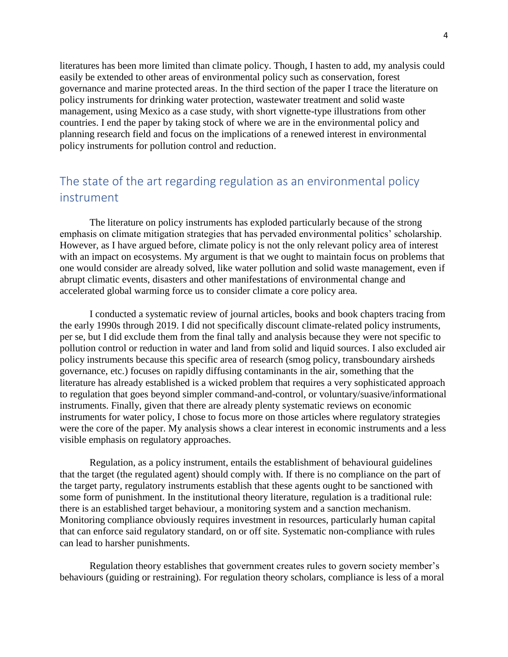literatures has been more limited than climate policy. Though, I hasten to add, my analysis could easily be extended to other areas of environmental policy such as conservation, forest governance and marine protected areas. In the third section of the paper I trace the literature on policy instruments for drinking water protection, wastewater treatment and solid waste management, using Mexico as a case study, with short vignette-type illustrations from other countries. I end the paper by taking stock of where we are in the environmental policy and planning research field and focus on the implications of a renewed interest in environmental policy instruments for pollution control and reduction.

# The state of the art regarding regulation as an environmental policy instrument

The literature on policy instruments has exploded particularly because of the strong emphasis on climate mitigation strategies that has pervaded environmental politics' scholarship. However, as I have argued before, climate policy is not the only relevant policy area of interest with an impact on ecosystems. My argument is that we ought to maintain focus on problems that one would consider are already solved, like water pollution and solid waste management, even if abrupt climatic events, disasters and other manifestations of environmental change and accelerated global warming force us to consider climate a core policy area.

I conducted a systematic review of journal articles, books and book chapters tracing from the early 1990s through 2019. I did not specifically discount climate-related policy instruments, per se, but I did exclude them from the final tally and analysis because they were not specific to pollution control or reduction in water and land from solid and liquid sources. I also excluded air policy instruments because this specific area of research (smog policy, transboundary airsheds governance, etc.) focuses on rapidly diffusing contaminants in the air, something that the literature has already established is a wicked problem that requires a very sophisticated approach to regulation that goes beyond simpler command-and-control, or voluntary/suasive/informational instruments. Finally, given that there are already plenty systematic reviews on economic instruments for water policy, I chose to focus more on those articles where regulatory strategies were the core of the paper. My analysis shows a clear interest in economic instruments and a less visible emphasis on regulatory approaches.

Regulation, as a policy instrument, entails the establishment of behavioural guidelines that the target (the regulated agent) should comply with. If there is no compliance on the part of the target party, regulatory instruments establish that these agents ought to be sanctioned with some form of punishment. In the institutional theory literature, regulation is a traditional rule: there is an established target behaviour, a monitoring system and a sanction mechanism. Monitoring compliance obviously requires investment in resources, particularly human capital that can enforce said regulatory standard, on or off site. Systematic non-compliance with rules can lead to harsher punishments.

Regulation theory establishes that government creates rules to govern society member's behaviours (guiding or restraining). For regulation theory scholars, compliance is less of a moral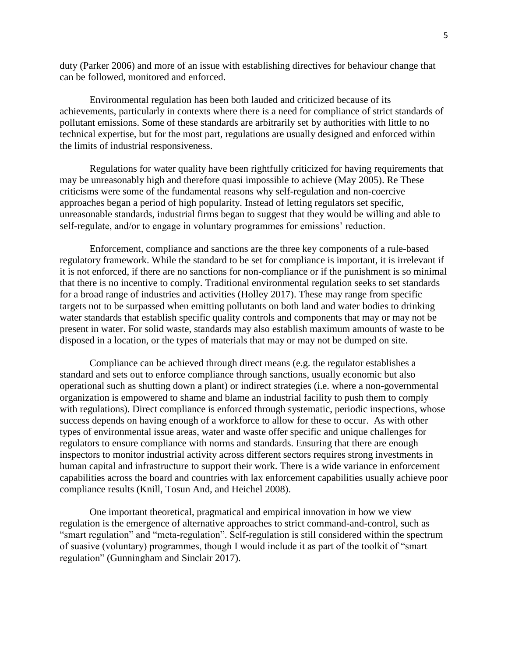duty (Parker 2006) and more of an issue with establishing directives for behaviour change that can be followed, monitored and enforced.

Environmental regulation has been both lauded and criticized because of its achievements, particularly in contexts where there is a need for compliance of strict standards of pollutant emissions. Some of these standards are arbitrarily set by authorities with little to no technical expertise, but for the most part, regulations are usually designed and enforced within the limits of industrial responsiveness.

Regulations for water quality have been rightfully criticized for having requirements that may be unreasonably high and therefore quasi impossible to achieve (May 2005). Re These criticisms were some of the fundamental reasons why self-regulation and non-coercive approaches began a period of high popularity. Instead of letting regulators set specific, unreasonable standards, industrial firms began to suggest that they would be willing and able to self-regulate, and/or to engage in voluntary programmes for emissions' reduction.

Enforcement, compliance and sanctions are the three key components of a rule-based regulatory framework. While the standard to be set for compliance is important, it is irrelevant if it is not enforced, if there are no sanctions for non-compliance or if the punishment is so minimal that there is no incentive to comply. Traditional environmental regulation seeks to set standards for a broad range of industries and activities (Holley 2017). These may range from specific targets not to be surpassed when emitting pollutants on both land and water bodies to drinking water standards that establish specific quality controls and components that may or may not be present in water. For solid waste, standards may also establish maximum amounts of waste to be disposed in a location, or the types of materials that may or may not be dumped on site.

Compliance can be achieved through direct means (e.g. the regulator establishes a standard and sets out to enforce compliance through sanctions, usually economic but also operational such as shutting down a plant) or indirect strategies (i.e. where a non-governmental organization is empowered to shame and blame an industrial facility to push them to comply with regulations). Direct compliance is enforced through systematic, periodic inspections, whose success depends on having enough of a workforce to allow for these to occur. As with other types of environmental issue areas, water and waste offer specific and unique challenges for regulators to ensure compliance with norms and standards. Ensuring that there are enough inspectors to monitor industrial activity across different sectors requires strong investments in human capital and infrastructure to support their work. There is a wide variance in enforcement capabilities across the board and countries with lax enforcement capabilities usually achieve poor compliance results (Knill, Tosun And, and Heichel 2008).

One important theoretical, pragmatical and empirical innovation in how we view regulation is the emergence of alternative approaches to strict command-and-control, such as "smart regulation" and "meta-regulation". Self-regulation is still considered within the spectrum of suasive (voluntary) programmes, though I would include it as part of the toolkit of "smart regulation" (Gunningham and Sinclair 2017).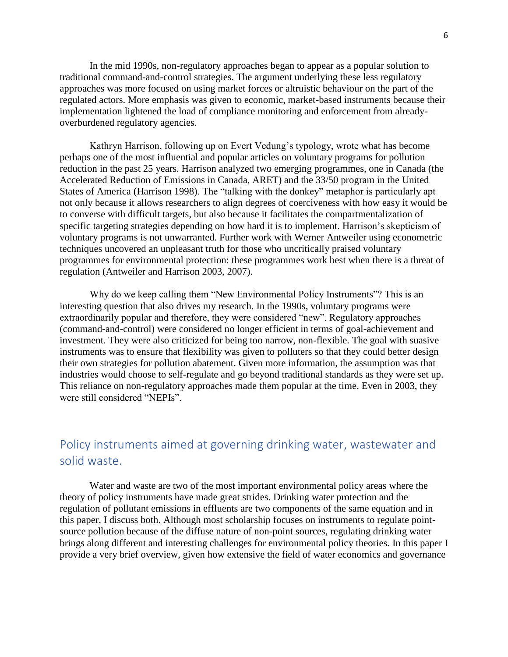In the mid 1990s, non-regulatory approaches began to appear as a popular solution to traditional command-and-control strategies. The argument underlying these less regulatory approaches was more focused on using market forces or altruistic behaviour on the part of the regulated actors. More emphasis was given to economic, market-based instruments because their implementation lightened the load of compliance monitoring and enforcement from alreadyoverburdened regulatory agencies.

Kathryn Harrison, following up on Evert Vedung's typology, wrote what has become perhaps one of the most influential and popular articles on voluntary programs for pollution reduction in the past 25 years. Harrison analyzed two emerging programmes, one in Canada (the Accelerated Reduction of Emissions in Canada, ARET) and the 33/50 program in the United States of America (Harrison 1998). The "talking with the donkey" metaphor is particularly apt not only because it allows researchers to align degrees of coerciveness with how easy it would be to converse with difficult targets, but also because it facilitates the compartmentalization of specific targeting strategies depending on how hard it is to implement. Harrison's skepticism of voluntary programs is not unwarranted. Further work with Werner Antweiler using econometric techniques uncovered an unpleasant truth for those who uncritically praised voluntary programmes for environmental protection: these programmes work best when there is a threat of regulation (Antweiler and Harrison 2003, 2007).

Why do we keep calling them "New Environmental Policy Instruments"? This is an interesting question that also drives my research. In the 1990s, voluntary programs were extraordinarily popular and therefore, they were considered "new". Regulatory approaches (command-and-control) were considered no longer efficient in terms of goal-achievement and investment. They were also criticized for being too narrow, non-flexible. The goal with suasive instruments was to ensure that flexibility was given to polluters so that they could better design their own strategies for pollution abatement. Given more information, the assumption was that industries would choose to self-regulate and go beyond traditional standards as they were set up. This reliance on non-regulatory approaches made them popular at the time. Even in 2003, they were still considered "NEPIs".

# Policy instruments aimed at governing drinking water, wastewater and solid waste.

Water and waste are two of the most important environmental policy areas where the theory of policy instruments have made great strides. Drinking water protection and the regulation of pollutant emissions in effluents are two components of the same equation and in this paper, I discuss both. Although most scholarship focuses on instruments to regulate pointsource pollution because of the diffuse nature of non-point sources, regulating drinking water brings along different and interesting challenges for environmental policy theories. In this paper I provide a very brief overview, given how extensive the field of water economics and governance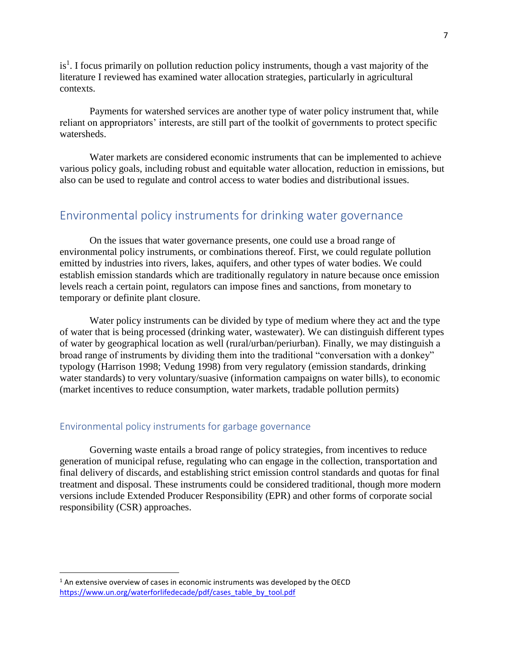is<sup>1</sup>. I focus primarily on pollution reduction policy instruments, though a vast majority of the literature I reviewed has examined water allocation strategies, particularly in agricultural contexts.

Payments for watershed services are another type of water policy instrument that, while reliant on appropriators' interests, are still part of the toolkit of governments to protect specific watersheds.

Water markets are considered economic instruments that can be implemented to achieve various policy goals, including robust and equitable water allocation, reduction in emissions, but also can be used to regulate and control access to water bodies and distributional issues.

## Environmental policy instruments for drinking water governance

On the issues that water governance presents, one could use a broad range of environmental policy instruments, or combinations thereof. First, we could regulate pollution emitted by industries into rivers, lakes, aquifers, and other types of water bodies. We could establish emission standards which are traditionally regulatory in nature because once emission levels reach a certain point, regulators can impose fines and sanctions, from monetary to temporary or definite plant closure.

Water policy instruments can be divided by type of medium where they act and the type of water that is being processed (drinking water, wastewater). We can distinguish different types of water by geographical location as well (rural/urban/periurban). Finally, we may distinguish a broad range of instruments by dividing them into the traditional "conversation with a donkey" typology (Harrison 1998; Vedung 1998) from very regulatory (emission standards, drinking water standards) to very voluntary/suasive (information campaigns on water bills), to economic (market incentives to reduce consumption, water markets, tradable pollution permits)

### Environmental policy instruments for garbage governance

Governing waste entails a broad range of policy strategies, from incentives to reduce generation of municipal refuse, regulating who can engage in the collection, transportation and final delivery of discards, and establishing strict emission control standards and quotas for final treatment and disposal. These instruments could be considered traditional, though more modern versions include Extended Producer Responsibility (EPR) and other forms of corporate social responsibility (CSR) approaches.

 $\overline{\phantom{a}}$ 

 $1$  An extensive overview of cases in economic instruments was developed by the OECD [https://www.un.org/waterforlifedecade/pdf/cases\\_table\\_by\\_tool.pdf](https://www.un.org/waterforlifedecade/pdf/cases_table_by_tool.pdf)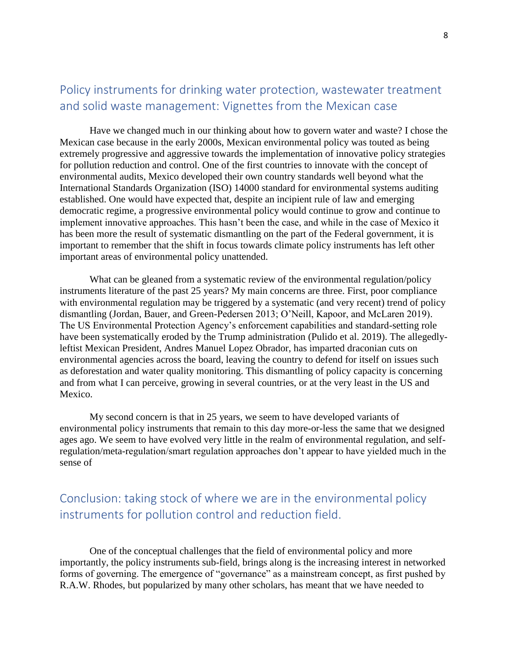# Policy instruments for drinking water protection, wastewater treatment and solid waste management: Vignettes from the Mexican case

Have we changed much in our thinking about how to govern water and waste? I chose the Mexican case because in the early 2000s, Mexican environmental policy was touted as being extremely progressive and aggressive towards the implementation of innovative policy strategies for pollution reduction and control. One of the first countries to innovate with the concept of environmental audits, Mexico developed their own country standards well beyond what the International Standards Organization (ISO) 14000 standard for environmental systems auditing established. One would have expected that, despite an incipient rule of law and emerging democratic regime, a progressive environmental policy would continue to grow and continue to implement innovative approaches. This hasn't been the case, and while in the case of Mexico it has been more the result of systematic dismantling on the part of the Federal government, it is important to remember that the shift in focus towards climate policy instruments has left other important areas of environmental policy unattended.

What can be gleaned from a systematic review of the environmental regulation/policy instruments literature of the past 25 years? My main concerns are three. First, poor compliance with environmental regulation may be triggered by a systematic (and very recent) trend of policy dismantling (Jordan, Bauer, and Green-Pedersen 2013; O'Neill, Kapoor, and McLaren 2019). The US Environmental Protection Agency's enforcement capabilities and standard-setting role have been systematically eroded by the Trump administration (Pulido et al. 2019). The allegedlyleftist Mexican President, Andres Manuel Lopez Obrador, has imparted draconian cuts on environmental agencies across the board, leaving the country to defend for itself on issues such as deforestation and water quality monitoring. This dismantling of policy capacity is concerning and from what I can perceive, growing in several countries, or at the very least in the US and Mexico.

My second concern is that in 25 years, we seem to have developed variants of environmental policy instruments that remain to this day more-or-less the same that we designed ages ago. We seem to have evolved very little in the realm of environmental regulation, and selfregulation/meta-regulation/smart regulation approaches don't appear to have yielded much in the sense of

# Conclusion: taking stock of where we are in the environmental policy instruments for pollution control and reduction field.

One of the conceptual challenges that the field of environmental policy and more importantly, the policy instruments sub-field, brings along is the increasing interest in networked forms of governing. The emergence of "governance" as a mainstream concept, as first pushed by R.A.W. Rhodes, but popularized by many other scholars, has meant that we have needed to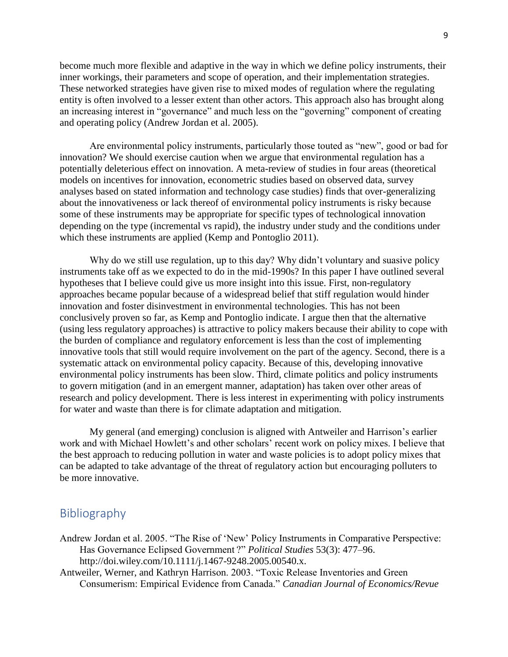become much more flexible and adaptive in the way in which we define policy instruments, their inner workings, their parameters and scope of operation, and their implementation strategies. These networked strategies have given rise to mixed modes of regulation where the regulating entity is often involved to a lesser extent than other actors. This approach also has brought along an increasing interest in "governance" and much less on the "governing" component of creating and operating policy (Andrew Jordan et al. 2005).

Are environmental policy instruments, particularly those touted as "new", good or bad for innovation? We should exercise caution when we argue that environmental regulation has a potentially deleterious effect on innovation. A meta-review of studies in four areas (theoretical models on incentives for innovation, econometric studies based on observed data, survey analyses based on stated information and technology case studies) finds that over-generalizing about the innovativeness or lack thereof of environmental policy instruments is risky because some of these instruments may be appropriate for specific types of technological innovation depending on the type (incremental vs rapid), the industry under study and the conditions under which these instruments are applied (Kemp and Pontoglio 2011).

Why do we still use regulation, up to this day? Why didn't voluntary and suasive policy instruments take off as we expected to do in the mid-1990s? In this paper I have outlined several hypotheses that I believe could give us more insight into this issue. First, non-regulatory approaches became popular because of a widespread belief that stiff regulation would hinder innovation and foster disinvestment in environmental technologies. This has not been conclusively proven so far, as Kemp and Pontoglio indicate. I argue then that the alternative (using less regulatory approaches) is attractive to policy makers because their ability to cope with the burden of compliance and regulatory enforcement is less than the cost of implementing innovative tools that still would require involvement on the part of the agency. Second, there is a systematic attack on environmental policy capacity. Because of this, developing innovative environmental policy instruments has been slow. Third, climate politics and policy instruments to govern mitigation (and in an emergent manner, adaptation) has taken over other areas of research and policy development. There is less interest in experimenting with policy instruments for water and waste than there is for climate adaptation and mitigation.

My general (and emerging) conclusion is aligned with Antweiler and Harrison's earlier work and with Michael Howlett's and other scholars' recent work on policy mixes. I believe that the best approach to reducing pollution in water and waste policies is to adopt policy mixes that can be adapted to take advantage of the threat of regulatory action but encouraging polluters to be more innovative.

## Bibliography

- Andrew Jordan et al. 2005. "The Rise of 'New' Policy Instruments in Comparative Perspective: Has Governance Eclipsed Government ?" *Political Studies* 53(3): 477–96. http://doi.wiley.com/10.1111/j.1467-9248.2005.00540.x.
- Antweiler, Werner, and Kathryn Harrison. 2003. "Toxic Release Inventories and Green Consumerism: Empirical Evidence from Canada." *Canadian Journal of Economics/Revue*